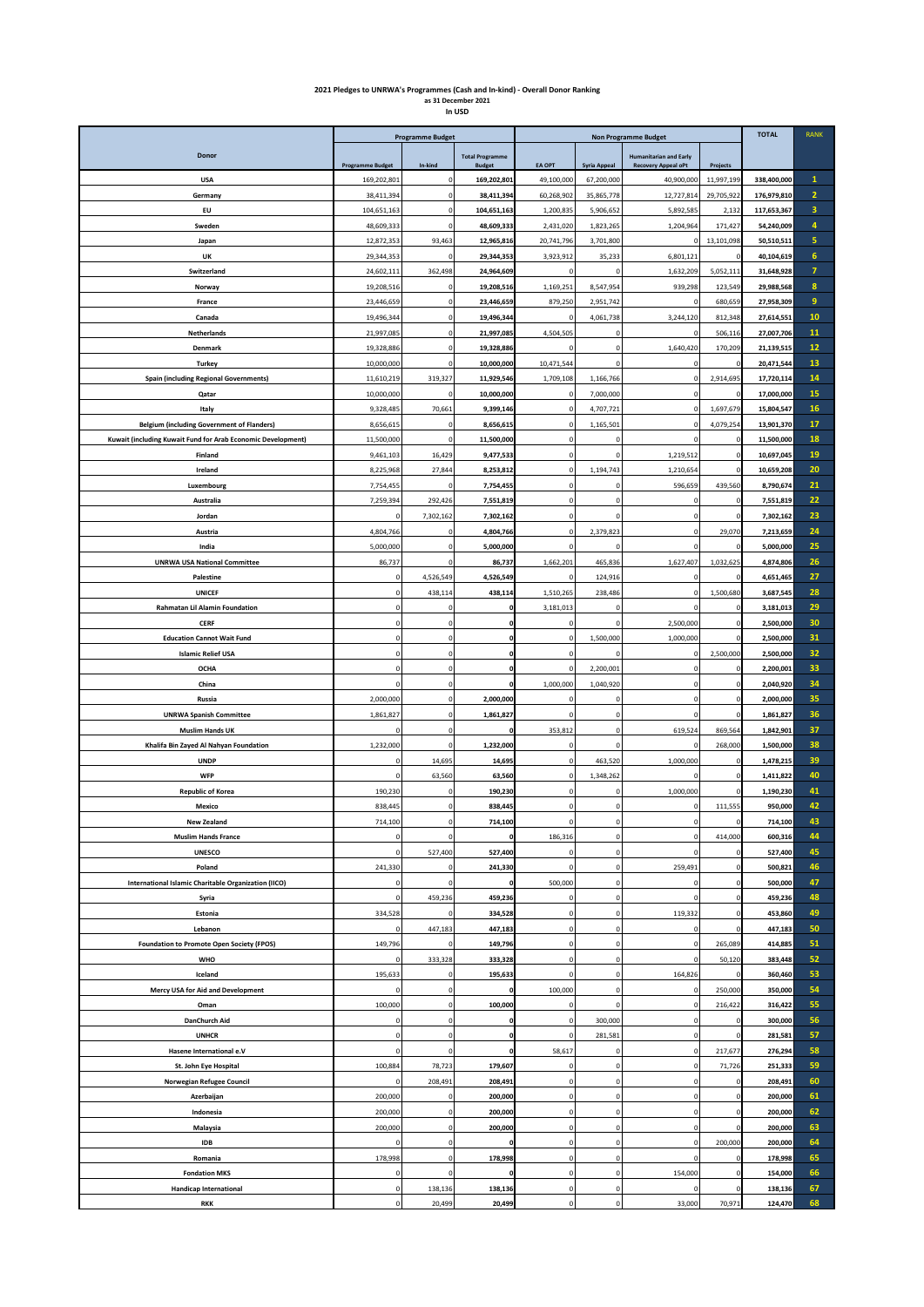## **2021 Pledges to UNRWA's Programmes (Cash and In-kind) - Overall Donor Ranking as 31 December 2021 In USD**

|                                                              | <b>Programme Budget</b>  |                  |                                         | <b>Non Programme Budget</b>   |                                |                                                             |                       | <b>TOTAL</b>             | <b>RANK</b>    |
|--------------------------------------------------------------|--------------------------|------------------|-----------------------------------------|-------------------------------|--------------------------------|-------------------------------------------------------------|-----------------------|--------------------------|----------------|
| Donor                                                        | <b>Programme Budget</b>  | In-kind          | <b>Total Programme</b><br><b>Budget</b> | <b>EA OPT</b>                 | <b>Syria Appeal</b>            | <b>Humanitarian and Early</b><br><b>Recovery Appeal oPt</b> | Projects              |                          |                |
| <b>USA</b>                                                   | 169,202,801              |                  | 169,202,801                             | 49,100,000                    | 67,200,000                     | 40,900,000                                                  | 11,997,199            | 338,400,000              | $\mathbf{1}$   |
| Germany                                                      | 38,411,394               | $\mathbf{C}$     | 38,411,394                              | 60,268,902                    | 35,865,778                     | 12,727,814                                                  | 29,705,92             | 176,979,810              | $\overline{2}$ |
| EU                                                           | 104,651,163              | C                | 104,651,163                             | 1,200,835                     | 5,906,652                      | 5,892,585                                                   | 2,13                  | 117,653,367              | 3<br>4         |
| Sweden<br>Japan                                              | 48,609,333<br>12,872,353 | C<br>93,463      | 48,609,333<br>12,965,816                | 2,431,020<br>20,741,796       | 1,823,265<br>3,701,800         | 1,204,964<br>0                                              | 171,427<br>13,101,098 | 54,240,009<br>50,510,511 | 5              |
| UK                                                           | 29,344,353               | $\mathfrak{c}$   | 29,344,353                              | 3,923,912                     | 35,233                         | 6,801,121                                                   |                       | 40,104,619               | 6              |
| Switzerland                                                  | 24,602,111               | 362,498          | 24,964,609                              | $\mathbf 0$                   | $\mathsf 0$                    | 1,632,209                                                   | 5,052,111             | 31,648,928               | $\overline{7}$ |
| Norway                                                       | 19,208,516               |                  | 19,208,516                              | 1,169,251                     | 8,547,954                      | 939,298                                                     | 123,549               | 29,988,568               | 8              |
| France                                                       | 23,446,659               | C                | 23,446,659                              | 879,250                       | 2,951,742                      | C                                                           | 680,659               | 27,958,309               | $\overline{9}$ |
| Canada                                                       | 19,496,344               | 0                | 19,496,344                              | $\mathbf 0$                   | 4,061,738                      | 3,244,120                                                   | 812,348               | 27,614,551               | 10             |
| <b>Netherlands</b>                                           | 21,997,085               | $\Omega$         | 21,997,085                              | 4,504,505                     | $\Omega$                       | $\circ$                                                     | 506,116               | 27,007,706               | 11             |
| Denmark                                                      | 19,328,886               | C                | 19,328,886                              | $\Omega$                      | $\mathbf 0$                    | 1,640,420                                                   | 170,209               | 21,139,515               | 12             |
| <b>Turkey</b>                                                | 10,000,000               | C                | 10,000,000                              | 10,471,544                    | $\mathsf 0$                    | 0                                                           |                       | 20,471,544               | 13             |
| <b>Spain (including Regional Governments)</b><br>Qatar       | 11,610,219<br>10,000,000 | 319,327<br>C     | 11,929,546<br>10,000,000                | 1,709,108<br>$\mathbf{0}$     | 1,166,766<br>7,000,000         | $\mathsf 0$<br>0                                            | 2,914,695             | 17,720,114<br>17,000,000 | 14<br>15       |
| Italy                                                        | 9,328,485                | 70,661           | 9,399,146                               | $\circ$                       | 4,707,721                      | $\mathsf 0$                                                 | 1,697,679             | 15,804,547               | 16             |
| <b>Belgium (including Government of Flanders)</b>            | 8,656,615                |                  | 8,656,615                               | $\mathbf 0$                   | 1,165,501                      | 0                                                           | 4,079,25              | 13,901,370               | 17             |
| Kuwait (including Kuwait Fund for Arab Economic Development) | 11,500,000               |                  | 11,500,000                              | $\overline{\mathbf{0}}$       | $\Omega$                       | O                                                           |                       | 11,500,000               | 18             |
| Finland                                                      | 9,461,103                | 16,429           | 9,477,533                               | $\mathbf 0$                   | $\circ$                        | 1,219,512                                                   |                       | 10,697,045               | 19             |
| Ireland                                                      | 8,225,968                | 27,844           | 8,253,812                               | $\pmb{0}$                     | 1,194,743                      | 1,210,654                                                   | $\mathfrak{c}$        | 10,659,208               | 20             |
| Luxembourg                                                   | 7,754,455                | C                | 7,754,455                               | $\circ$                       | $\circ$                        | 596,659                                                     | 439,560               | 8,790,674                | 21             |
| Australia                                                    | 7,259,394                | 292,426          | 7,551,819                               | $\mathbf 0$                   | $\circ$                        | $\circ$                                                     |                       | 7,551,819                | 22             |
| Jordan                                                       | $\circ$                  | 7,302,162        | 7,302,162                               | $\mathbf 0$                   | $\mathbf 0$                    | $\mathbf 0$                                                 | $\epsilon$            | 7,302,162                | 23             |
| Austria                                                      | 4,804,766                |                  | 4,804,766                               | $\mathbf 0$                   | 2,379,823                      | 0                                                           | 29,070                | 7,213,659                | 24             |
| India<br><b>UNRWA USA National Committee</b>                 | 5,000,000<br>86,737      | C                | 5,000,000<br>86,737                     | $\overline{0}$<br>1,662,201   | $\Omega$<br>465,836            | $\mathsf 0$<br>1,627,407                                    | 1,032,625             | 5,000,000<br>4,874,806   | 25<br>26       |
| Palestine                                                    | $\pmb{0}$                | 4,526,549        | 4,526,549                               | $\pmb{0}$                     | 124,916                        | $\mathsf 0$                                                 |                       | 4,651,465                | 27             |
| <b>UNICEF</b>                                                | $\mathbf 0$              | 438,114          | 438,114                                 | 1,510,265                     | 238,486                        | $\mathsf 0$                                                 | 1,500,680             | 3,687,545                | 28             |
| Rahmatan Lil Alamin Foundation                               | 0                        | C                |                                         | 3,181,013                     | $\circ$                        | 0                                                           |                       | 3,181,013                | 29             |
| <b>CERF</b>                                                  | $\mathbf 0$              | $\Omega$         |                                         | $\mathbf 0$                   | $\mathsf 0$                    | 2,500,000                                                   |                       | 2,500,000                | 30             |
| <b>Education Cannot Wait Fund</b>                            | $\circ$                  | C                |                                         | 0                             | 1,500,000                      | 1,000,000                                                   |                       | 2,500,000                | 31             |
| <b>Islamic Relief USA</b>                                    | $\mathbf 0$              | $\mathbf 0$      |                                         | $\overline{0}$                | $\mathsf 0$                    | $\circ$                                                     | 2,500,000             | 2,500,000                | 32             |
| <b>OCHA</b>                                                  | $\circ$                  | C                |                                         | $\mathbf 0$                   | 2,200,001                      | 0                                                           |                       | 2,200,001                | 33             |
| China                                                        | $\Omega$                 | $\mathsf{C}$     |                                         | 1,000,000                     | 1,040,920                      | $\Omega$                                                    |                       | 2,040,920                | 34<br>35       |
| Russia<br><b>UNRWA Spanish Committee</b>                     | 2,000,000<br>1,861,827   | C<br>$\mathbf 0$ | 2,000,000<br>1,861,827                  | $\mathbf 0$<br>$\overline{0}$ | $\circ$<br>$\Omega$            | 0<br>$\mathsf 0$                                            | $\mathfrak{c}$        | 2,000,000<br>1,861,827   | 36             |
| <b>Muslim Hands UK</b>                                       | $\mathbf 0$              | C                |                                         | 353,812                       | $\mathsf 0$                    | 619,524                                                     | 869,564               | 1,842,901                | 37             |
| Khalifa Bin Zayed Al Nahyan Foundation                       | 1,232,000                | $\mathbf 0$      | 1,232,000                               | 0                             | $\mathsf 0$                    | 0                                                           | 268,000               | 1,500,000                | 38             |
| <b>UNDP</b>                                                  | $\circ$                  | 14,695           | 14,695                                  | $\overline{0}$                | 463,520                        | 1,000,000                                                   |                       | 1,478,215                | 39             |
| <b>WFP</b>                                                   | $\mathbf 0$              | 63,560           | 63,560                                  | $\overline{0}$                | 1,348,262                      |                                                             |                       | 1,411,822                | 40             |
| <b>Republic of Korea</b>                                     | 190,230                  | $\epsilon$       | 190,230                                 | $\mathbf 0$                   | $\mathbf 0$                    | 1,000,000                                                   |                       | 1,190,230                | 41             |
| Mexico                                                       | 838,445                  |                  | 838,445                                 | $\mathbf 0$                   | $\mathsf 0$                    | 0                                                           | 111,555               | 950,000                  | 42             |
| New Zealand                                                  | 714,100<br>$\mathbf 0$   | $\Omega$         | 714,100                                 | 0<br>186,316                  | 0<br>$\mathsf 0$               | 0<br>$\mathsf 0$                                            |                       | 714,100                  | 43<br>44       |
| <b>Muslim Hands France</b><br><b>UNESCO</b>                  | 0                        | 527,400          | 527,400                                 | 0                             | $\mathsf{O}\xspace$            | $\Omega$                                                    | 414,000               | 600,316<br>527,400       | 45             |
| Poland                                                       | 241,330                  | C                | 241,330                                 | $\mathbf 0$                   | $\mathsf{O}\xspace$            | 259,491                                                     |                       | 500,821                  | 46             |
| International Islamic Charitable Organization (IICO)         | $\pmb{0}$                | C                |                                         | 500,000                       | $\mathbf 0$                    | 0                                                           |                       | 500,000                  | 47             |
| Syria                                                        | $\mathbf 0$              | 459,236          | 459,236                                 | $\mathbf 0$                   | $\mathbf 0$                    | $\Omega$                                                    |                       | 459,236                  | 48             |
| Estonia                                                      | 334,528                  |                  | 334,528                                 | $\mathbf 0$                   | $\mathsf{O}\xspace$            | 119,332                                                     |                       | 453,860                  | 49             |
| Lebanon                                                      | 0                        | 447,183          | 447,183                                 | $\mathbf 0$                   | $\mathbf 0$                    | 0                                                           |                       | 447,183                  | 50             |
| <b>Foundation to Promote Open Society (FPOS)</b>             | 149,796                  |                  | 149,796                                 | $\mathbf 0$                   | $\mathsf{O}\xspace$            | $\mathbf{0}$                                                | 265,089               | 414,885                  | 51             |
| <b>WHO</b>                                                   | 0                        | 333,328          | 333,328                                 | $\pmb{0}$                     | $\mathbf 0$                    | $\mathbf{0}$                                                | 50,120                | 383,448                  | 52             |
| Iceland<br>Mercy USA for Aid and Development                 | 195,633<br>$\mathbf 0$   | C<br>C           | 195,633                                 | $\circ$<br>100,000            | $\mathsf{O}\xspace$<br>$\circ$ | 164,826<br>0                                                | 250,000               | 360,460<br>350,000       | 53<br>54       |
| Oman                                                         | 100,000                  | $\mathsf 0$      | 100,000                                 | $\mathbf 0$                   | $\mathbf 0$                    | $\mathsf{O}\xspace$                                         | 216,422               | 316,422                  | 55             |
| DanChurch Aid                                                | $\circ$                  | C                |                                         | $\mathbf 0$                   | 300,000                        | 0                                                           |                       | 300,000                  | 56             |
| <b>UNHCR</b>                                                 | $\pmb{0}$                | $\mathfrak{c}$   |                                         | 0                             | 281,581                        | $\mathbf{0}$                                                |                       | 281,581                  | 57             |
| Hasene International e.V                                     | $\mathbf 0$              | C                |                                         | 58,617                        | $\mathsf{O}\xspace$            | $\mathbf{0}$                                                | 217,677               | 276,294                  | 58             |
| St. John Eye Hospital                                        | 100,884                  | 78,723           | 179,607                                 | $\pmb{0}$                     | $\mathbf 0$                    | $\mathbf{0}$                                                | 71,726                | 251,333                  | 59             |
| Norwegian Refugee Council                                    | $\mathbf 0$              | 208,491          | 208,491                                 | $\mathbf 0$                   | $\circ$                        | 0                                                           |                       | 208,491                  | 60             |
| Azerbaijan                                                   | 200,000                  | C                | 200,000                                 | $\mathbf 0$                   | $\circ$                        | 0                                                           | $\epsilon$            | 200,000                  | 61             |
| Indonesia                                                    | 200,000                  | $\mathbf{C}$     | 200,000                                 | $\mathbf 0$                   | $\mathsf 0$                    | $\mathbf{0}$                                                |                       | 200,000                  | 62             |
| Malaysia<br><b>IDB</b>                                       | 200,000                  | C<br>$\mathsf 0$ | 200,000                                 | $\mathbf 0$<br>$\overline{0}$ | $\mathsf 0$<br>$\mathsf 0$     | $\mathsf 0$<br>$\mathsf 0$                                  | 200,000               | 200,000                  | 63<br>64       |
| Romania                                                      | 0<br>178,998             |                  | 178,998                                 | $\mathbf 0$                   | $\mathsf 0$                    |                                                             |                       | 200,000<br>178,998       | 65             |
| <b>Fondation MKS</b>                                         | $\circ$                  | $\mathfrak{c}$   |                                         | $\overline{0}$                | $\mathbf 0$                    | 154,000                                                     |                       | 154,000                  | 66             |
| <b>Handicap International</b>                                | 0                        | 138,136          | 138,136                                 | 0                             | 0                              | 0                                                           |                       | 138,136                  | 67             |
| <b>RKK</b>                                                   | $\mathbf 0$              | 20,499           | 20,499                                  | $\pmb{0}$                     | $\mathsf{o}\xspace$            | 33,000                                                      | 70,971                | 124,470                  | 68             |